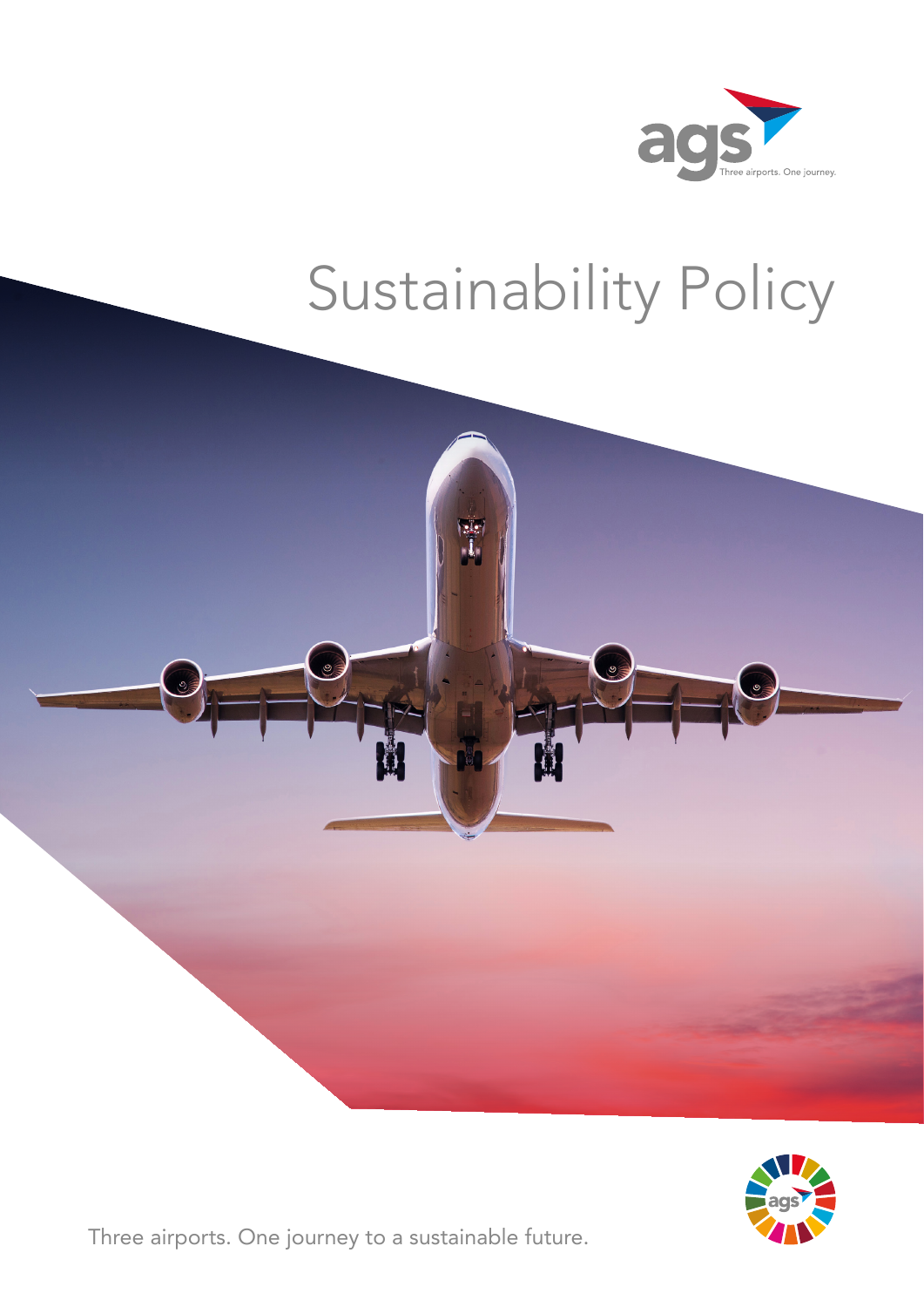

# Sustainability Policy





Three airports. One journey to a sustainable future.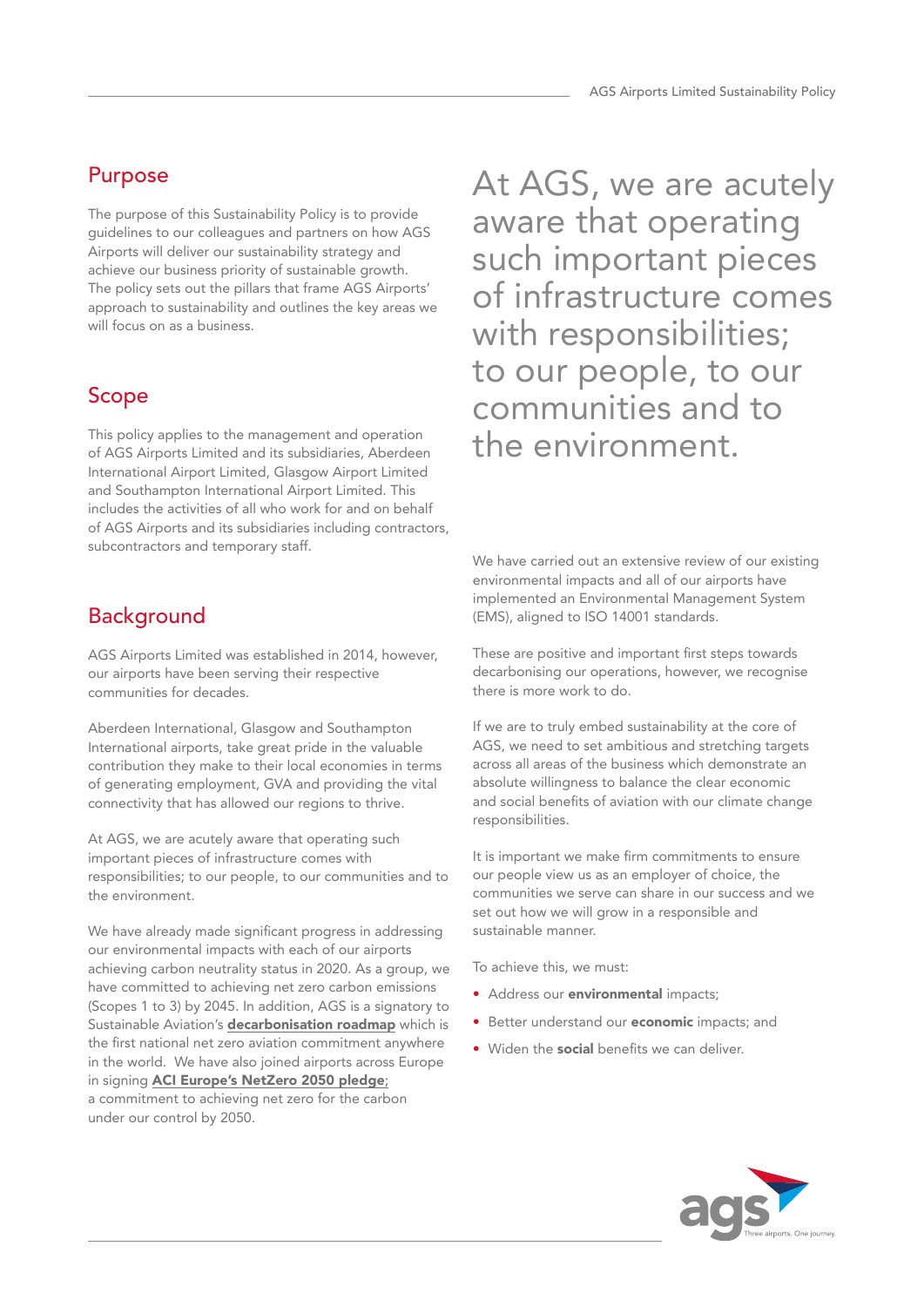## Purpose

The purpose of this Sustainability Policy is to provide guidelines to our colleagues and partners on how AGS Airports will deliver our sustainability strategy and achieve our business priority of sustainable growth. The policy sets out the pillars that frame AGS Airports' approach to sustainability and outlines the key areas we will focus on as a business.

## Scope

This policy applies to the management and operation of AGS Airports Limited and its subsidiaries, Aberdeen International Airport Limited, Glasgow Airport Limited and Southampton International Airport Limited. This includes the activities of all who work for and on behalf of AGS Airports and its subsidiaries including contractors, subcontractors and temporary staff.

# **Background**

AGS Airports Limited was established in 2014, however, our airports have been serving their respective communities for decades.

Aberdeen International, Glasgow and Southampton International airports, take great pride in the valuable contribution they make to their local economies in terms of generating employment, GVA and providing the vital connectivity that has allowed our regions to thrive.

At AGS, we are acutely aware that operating such important pieces of infrastructure comes with responsibilities; to our people, to our communities and to the environment.

We have already made significant progress in addressing our environmental impacts with each of our airports achieving carbon neutrality status in 2020. As a group, we have committed to achieving net zero carbon emissions (Scopes 1 to 3) by 2045. In addition, AGS is a signatory to Sustainable Aviation's [decarbonisation roadmap](https://www.sustainableaviation.co.uk/news/uk-aviation-commits-to-net-zero-carbon-emissions-by-2050/) which is the first national net zero aviation commitment anywhere in the world. We have also joined airports across Europe in signing [ACI Europe's NetZero 2050 pledge](https://www.aci-europe.org/netzero/airports-committed-to-net-zero.html); a commitment to achieving net zero for the carbon under our control by 2050.

At AGS, we are acutely aware that operating such important pieces of infrastructure comes with responsibilities; to our people, to our communities and to the environment.

We have carried out an extensive review of our existing environmental impacts and all of our airports have implemented an Environmental Management System (EMS), aligned to ISO 14001 standards.

These are positive and important first steps towards decarbonising our operations, however, we recognise there is more work to do.

If we are to truly embed sustainability at the core of AGS, we need to set ambitious and stretching targets across all areas of the business which demonstrate an absolute willingness to balance the clear economic and social benefits of aviation with our climate change responsibilities.

It is important we make firm commitments to ensure our people view us as an employer of choice, the communities we serve can share in our success and we set out how we will grow in a responsible and sustainable manner.

To achieve this, we must:

- Address our **environmental** impacts;
- Better understand our **economic** impacts; and
- Widen the **social** benefits we can deliver.